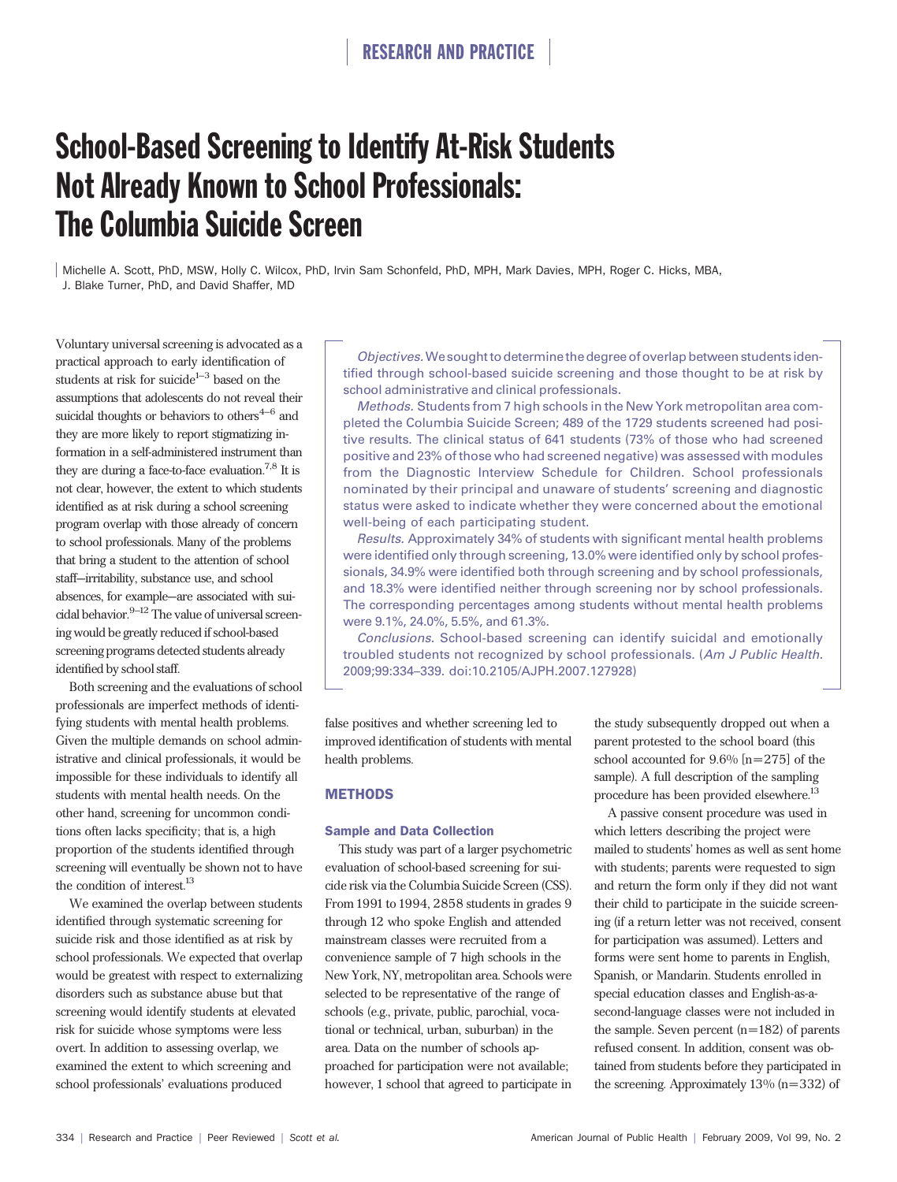# School-Based Screening to Identify At-Risk Students Not Already Known to School Professionals: The Columbia Suicide Screen

Michelle A. Scott, PhD, MSW, Holly C. Wilcox, PhD, Irvin Sam Schonfeld, PhD, MPH, Mark Davies, MPH, Roger C. Hicks, MBA, J. Blake Turner, PhD, and David Shaffer, MD

Voluntary universal screening is advocated as a practical approach to early identification of students at risk for suicide<sup>1-3</sup> based on the assumptions that adolescents do not reveal their suicidal thoughts or behaviors to others $4-6$  and they are more likely to report stigmatizing information in a self-administered instrument than they are during a face-to-face evaluation.7,8 It is not clear, however, the extent to which students identified as at risk during a school screening program overlap with those already of concern to school professionals. Many of the problems that bring a student to the attention of school staff—irritability, substance use, and school absences, for example—are associated with suicidal behavior. $9-12$  The value of universal screening would be greatly reduced if school-based screening programs detected students already identified by school staff.

Both screening and the evaluations of school professionals are imperfect methods of identifying students with mental health problems. Given the multiple demands on school administrative and clinical professionals, it would be impossible for these individuals to identify all students with mental health needs. On the other hand, screening for uncommon conditions often lacks specificity; that is, a high proportion of the students identified through screening will eventually be shown not to have the condition of interest.<sup>13</sup>

We examined the overlap between students identified through systematic screening for suicide risk and those identified as at risk by school professionals. We expected that overlap would be greatest with respect to externalizing disorders such as substance abuse but that screening would identify students at elevated risk for suicide whose symptoms were less overt. In addition to assessing overlap, we examined the extent to which screening and school professionals' evaluations produced

Objectives.We sought to determine the degree of overlap between studentsidentified through school-based suicide screening and those thought to be at risk by school administrative and clinical professionals.

Methods. Students from 7 high schools in the New York metropolitan area completed the Columbia Suicide Screen; 489 of the 1729 students screened had positive results. The clinical status of 641 students (73% of those who had screened positive and 23% of those who had screened negative) was assessed with modules from the Diagnostic Interview Schedule for Children. School professionals nominated by their principal and unaware of students' screening and diagnostic status were asked to indicate whether they were concerned about the emotional well-being of each participating student.

Results. Approximately 34% of students with significant mental health problems were identified only through screening, 13.0% were identified only by school professionals, 34.9% were identified both through screening and by school professionals, and 18.3% were identified neither through screening nor by school professionals. The corresponding percentages among students without mental health problems were 9.1%, 24.0%, 5.5%, and 61.3%.

Conclusions. School-based screening can identify suicidal and emotionally troubled students not recognized by school professionals. (Am J Public Health. 2009;99:334–339. doi:10.2105/AJPH.2007.127928)

false positives and whether screening led to improved identification of students with mental health problems.

# **METHODS**

## Sample and Data Collection

This study was part of a larger psychometric evaluation of school-based screening for suicide risk via the Columbia Suicide Screen (CSS). From 1991 to 1994, 2858 students in grades 9 through 12 who spoke English and attended mainstream classes were recruited from a convenience sample of 7 high schools in the New York, NY, metropolitan area. Schools were selected to be representative of the range of schools (e.g., private, public, parochial, vocational or technical, urban, suburban) in the area. Data on the number of schools approached for participation were not available; however, 1 school that agreed to participate in

the study subsequently dropped out when a parent protested to the school board (this school accounted for 9.6% [n=275] of the sample). A full description of the sampling procedure has been provided elsewhere.<sup>13</sup>

A passive consent procedure was used in which letters describing the project were mailed to students' homes as well as sent home with students; parents were requested to sign and return the form only if they did not want their child to participate in the suicide screening (if a return letter was not received, consent for participation was assumed). Letters and forms were sent home to parents in English, Spanish, or Mandarin. Students enrolled in special education classes and English-as-asecond-language classes were not included in the sample. Seven percent (n=182) of parents refused consent. In addition, consent was obtained from students before they participated in the screening. Approximately 13% (n=332) of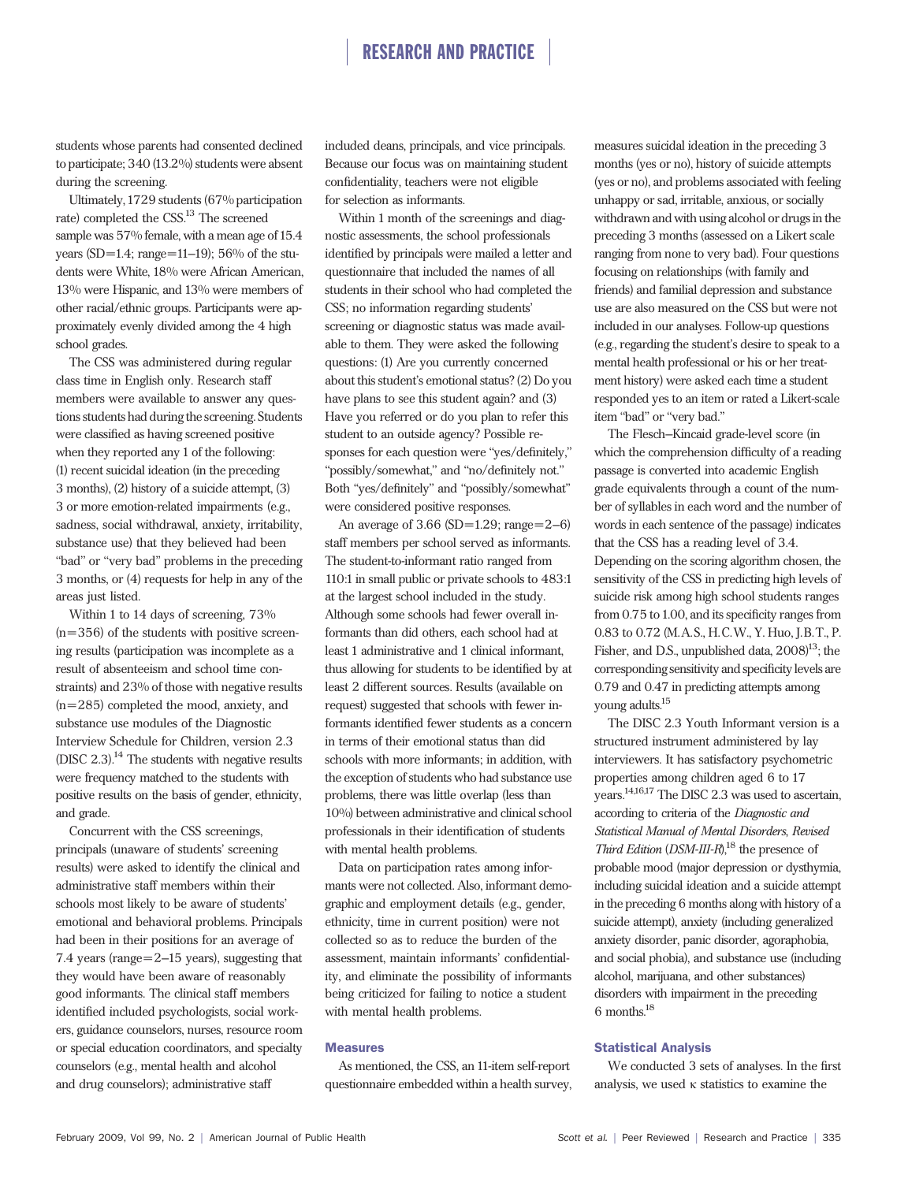# RESEARCH AND PRACTICE

students whose parents had consented declined to participate; 340 (13.2%) students were absent during the screening.

Ultimately,1729 students (67% participation rate) completed the CSS.13 The screened sample was 57% female, with a mean age of 15.4 years (SD=1.4; range=11-19); 56% of the students were White, 18% were African American, 13% were Hispanic, and 13% were members of other racial/ethnic groups. Participants were approximately evenly divided among the 4 high school grades.

The CSS was administered during regular class time in English only. Research staff members were available to answer any questions students had during the screening. Students were classified as having screened positive when they reported any 1 of the following: (1) recent suicidal ideation (in the preceding 3 months), (2) history of a suicide attempt, (3) 3 or more emotion-related impairments (e.g., sadness, social withdrawal, anxiety, irritability, substance use) that they believed had been ''bad'' or ''very bad'' problems in the preceding 3 months, or (4) requests for help in any of the areas just listed.

Within 1 to 14 days of screening,  $73\%$  $(n=356)$  of the students with positive screening results (participation was incomplete as a result of absenteeism and school time constraints) and 23% of those with negative results (n=285) completed the mood, anxiety, and substance use modules of the Diagnostic Interview Schedule for Children, version 2.3 (DISC  $2.3$ ).<sup>14</sup> The students with negative results were frequency matched to the students with positive results on the basis of gender, ethnicity, and grade.

Concurrent with the CSS screenings, principals (unaware of students' screening results) were asked to identify the clinical and administrative staff members within their schools most likely to be aware of students' emotional and behavioral problems. Principals had been in their positions for an average of 7.4 years (range= 2–15 years), suggesting that they would have been aware of reasonably good informants. The clinical staff members identified included psychologists, social workers, guidance counselors, nurses, resource room or special education coordinators, and specialty counselors (e.g., mental health and alcohol and drug counselors); administrative staff

included deans, principals, and vice principals. Because our focus was on maintaining student confidentiality, teachers were not eligible for selection as informants.

Within 1 month of the screenings and diagnostic assessments, the school professionals identified by principals were mailed a letter and questionnaire that included the names of all students in their school who had completed the CSS; no information regarding students' screening or diagnostic status was made available to them. They were asked the following questions: (1) Are you currently concerned about this student's emotional status? (2) Do you have plans to see this student again? and (3) Have you referred or do you plan to refer this student to an outside agency? Possible responses for each question were ''yes/definitely,'' ''possibly/somewhat,'' and ''no/definitely not.'' Both ''yes/definitely'' and ''possibly/somewhat'' were considered positive responses.

An average of  $3.66$  (SD= $1.29$ ; range= $2-6$ ) staff members per school served as informants. The student-to-informant ratio ranged from 110:1 in small public or private schools to 483:1 at the largest school included in the study. Although some schools had fewer overall informants than did others, each school had at least 1 administrative and 1 clinical informant, thus allowing for students to be identified by at least 2 different sources. Results (available on request) suggested that schools with fewer informants identified fewer students as a concern in terms of their emotional status than did schools with more informants; in addition, with the exception of students who had substance use problems, there was little overlap (less than 10%) between administrative and clinical school professionals in their identification of students with mental health problems.

Data on participation rates among informants were not collected. Also, informant demographic and employment details (e.g., gender, ethnicity, time in current position) were not collected so as to reduce the burden of the assessment, maintain informants' confidentiality, and eliminate the possibility of informants being criticized for failing to notice a student with mental health problems.

#### Measures

As mentioned, the CSS, an 11-item self-report questionnaire embedded within a health survey, measures suicidal ideation in the preceding 3 months (yes or no), history of suicide attempts (yes or no), and problems associated with feeling unhappy or sad, irritable, anxious, or socially withdrawn and with using alcohol or drugs in the preceding 3 months (assessed on a Likert scale ranging from none to very bad). Four questions focusing on relationships (with family and friends) and familial depression and substance use are also measured on the CSS but were not included in our analyses. Follow-up questions (e.g., regarding the student's desire to speak to a mental health professional or his or her treatment history) were asked each time a student responded yes to an item or rated a Likert-scale item "bad" or "very bad."

The Flesch–Kincaid grade-level score (in which the comprehension difficulty of a reading passage is converted into academic English grade equivalents through a count of the number of syllables in each word and the number of words in each sentence of the passage) indicates that the CSS has a reading level of 3.4. Depending on the scoring algorithm chosen, the sensitivity of the CSS in predicting high levels of suicide risk among high school students ranges from 0.75 to 1.00, and its specificity ranges from 0.83 to 0.72 (M.A.S., H.C.W., Y. Huo, J.B.T., P. Fisher, and D.S., unpublished data,  $2008$ <sup>13</sup>; the corresponding sensitivity and specificity levels are 0.79 and 0.47 in predicting attempts among young adults.15

The DISC 2.3 Youth Informant version is a structured instrument administered by lay interviewers. It has satisfactory psychometric properties among children aged 6 to 17 years.14,16,17 The DISC 2.3 was used to ascertain, according to criteria of the Diagnostic and Statistical Manual of Mental Disorders, Revised Third Edition  $(DSM-III-R)$ <sup>18</sup>, the presence of probable mood (major depression or dysthymia, including suicidal ideation and a suicide attempt in the preceding 6 months along with history of a suicide attempt), anxiety (including generalized anxiety disorder, panic disorder, agoraphobia, and social phobia), and substance use (including alcohol, marijuana, and other substances) disorders with impairment in the preceding 6 months.18

#### Statistical Analysis

We conducted 3 sets of analyses. In the first analysis, we used  $\kappa$  statistics to examine the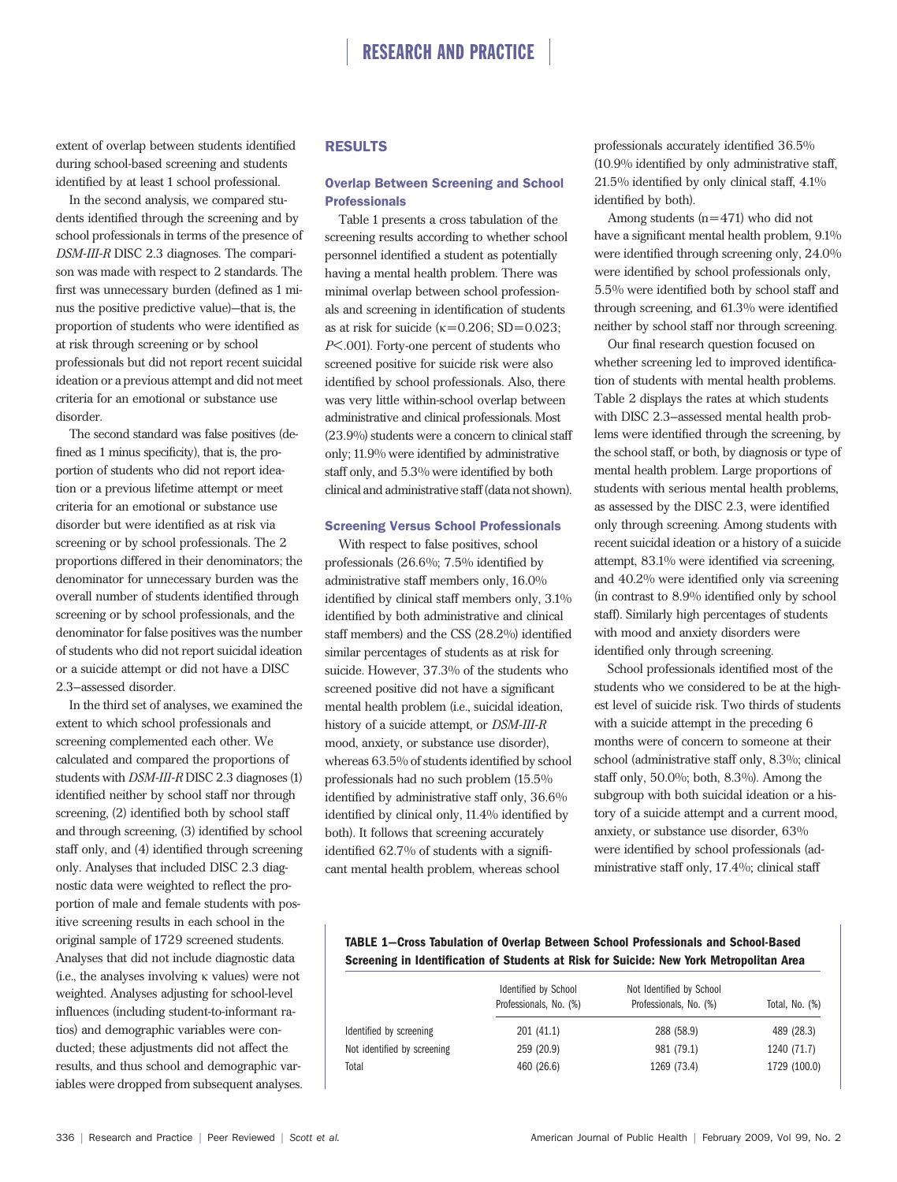extent of overlap between students identified during school-based screening and students identified by at least 1 school professional.

In the second analysis, we compared students identified through the screening and by school professionals in terms of the presence of DSM-III-R DISC 2.3 diagnoses. The comparison was made with respect to 2 standards. The first was unnecessary burden (defined as 1 minus the positive predictive value)—that is, the proportion of students who were identified as at risk through screening or by school professionals but did not report recent suicidal ideation or a previous attempt and did not meet criteria for an emotional or substance use disorder.

The second standard was false positives (defined as 1 minus specificity), that is, the proportion of students who did not report ideation or a previous lifetime attempt or meet criteria for an emotional or substance use disorder but were identified as at risk via screening or by school professionals. The 2 proportions differed in their denominators; the denominator for unnecessary burden was the overall number of students identified through screening or by school professionals, and the denominator for false positives was the number of students who did not report suicidal ideation or a suicide attempt or did not have a DISC 2.3–assessed disorder.

In the third set of analyses, we examined the extent to which school professionals and screening complemented each other. We calculated and compared the proportions of students with DSM-III-R DISC 2.3 diagnoses (1) identified neither by school staff nor through screening, (2) identified both by school staff and through screening, (3) identified by school staff only, and (4) identified through screening only. Analyses that included DISC 2.3 diagnostic data were weighted to reflect the proportion of male and female students with positive screening results in each school in the original sample of 1729 screened students. Analyses that did not include diagnostic data (i.e., the analyses involving  $\kappa$  values) were not weighted. Analyses adjusting for school-level influences (including student-to-informant ratios) and demographic variables were conducted; these adjustments did not affect the results, and thus school and demographic variables were dropped from subsequent analyses.

# RESULTS

# Overlap Between Screening and School **Professionals**

Table 1 presents a cross tabulation of the screening results according to whether school personnel identified a student as potentially having a mental health problem. There was minimal overlap between school professionals and screening in identification of students as at risk for suicide ( $\kappa$ =0.206; SD=0.023; P< .001). Forty-one percent of students who screened positive for suicide risk were also identified by school professionals. Also, there was very little within-school overlap between administrative and clinical professionals. Most (23.9%) students were a concern to clinical staff only; 11.9% were identified by administrative staff only, and 5.3% were identified by both clinical and administrative staff (data not shown).

#### Screening Versus School Professionals

With respect to false positives, school professionals (26.6%; 7.5% identified by administrative staff members only, 16.0% identified by clinical staff members only, 3.1% identified by both administrative and clinical staff members) and the CSS (28.2%) identified similar percentages of students as at risk for suicide. However, 37.3% of the students who screened positive did not have a significant mental health problem (i.e., suicidal ideation, history of a suicide attempt, or DSM-III-R mood, anxiety, or substance use disorder), whereas 63.5% of students identified by school professionals had no such problem (15.5% identified by administrative staff only, 36.6% identified by clinical only, 11.4% identified by both). It follows that screening accurately identified 62.7% of students with a significant mental health problem, whereas school

professionals accurately identified 36.5% (10.9% identified by only administrative staff, 21.5% identified by only clinical staff, 4.1% identified by both).

Among students (n=471) who did not have a significant mental health problem, 9.1% were identified through screening only, 24.0% were identified by school professionals only, 5.5% were identified both by school staff and through screening, and 61.3% were identified neither by school staff nor through screening.

Our final research question focused on whether screening led to improved identification of students with mental health problems. Table 2 displays the rates at which students with DISC 2.3–assessed mental health problems were identified through the screening, by the school staff, or both, by diagnosis or type of mental health problem. Large proportions of students with serious mental health problems, as assessed by the DISC 2.3, were identified only through screening. Among students with recent suicidal ideation or a history of a suicide attempt, 83.1% were identified via screening, and 40.2% were identified only via screening (in contrast to 8.9% identified only by school staff). Similarly high percentages of students with mood and anxiety disorders were identified only through screening.

School professionals identified most of the students who we considered to be at the highest level of suicide risk. Two thirds of students with a suicide attempt in the preceding 6 months were of concern to someone at their school (administrative staff only, 8.3%; clinical staff only, 50.0%; both, 8.3%). Among the subgroup with both suicidal ideation or a history of a suicide attempt and a current mood, anxiety, or substance use disorder, 63% were identified by school professionals (administrative staff only, 17.4%; clinical staff

# TABLE 1—Cross Tabulation of Overlap Between School Professionals and School-Based Screening in Identification of Students at Risk for Suicide: New York Metropolitan Area

|                             | Not Identified by School<br>Identified by School<br>Professionals, No. (%)<br>Professionals, No. (%) |             | Total, No. (%) |
|-----------------------------|------------------------------------------------------------------------------------------------------|-------------|----------------|
| Identified by screening     | 201 (41.1)                                                                                           | 288 (58.9)  | 489 (28.3)     |
| Not identified by screening | 259 (20.9)                                                                                           | 981 (79.1)  | 1240 (71.7)    |
| Total                       | 460 (26.6)                                                                                           | 1269 (73.4) | 1729 (100.0)   |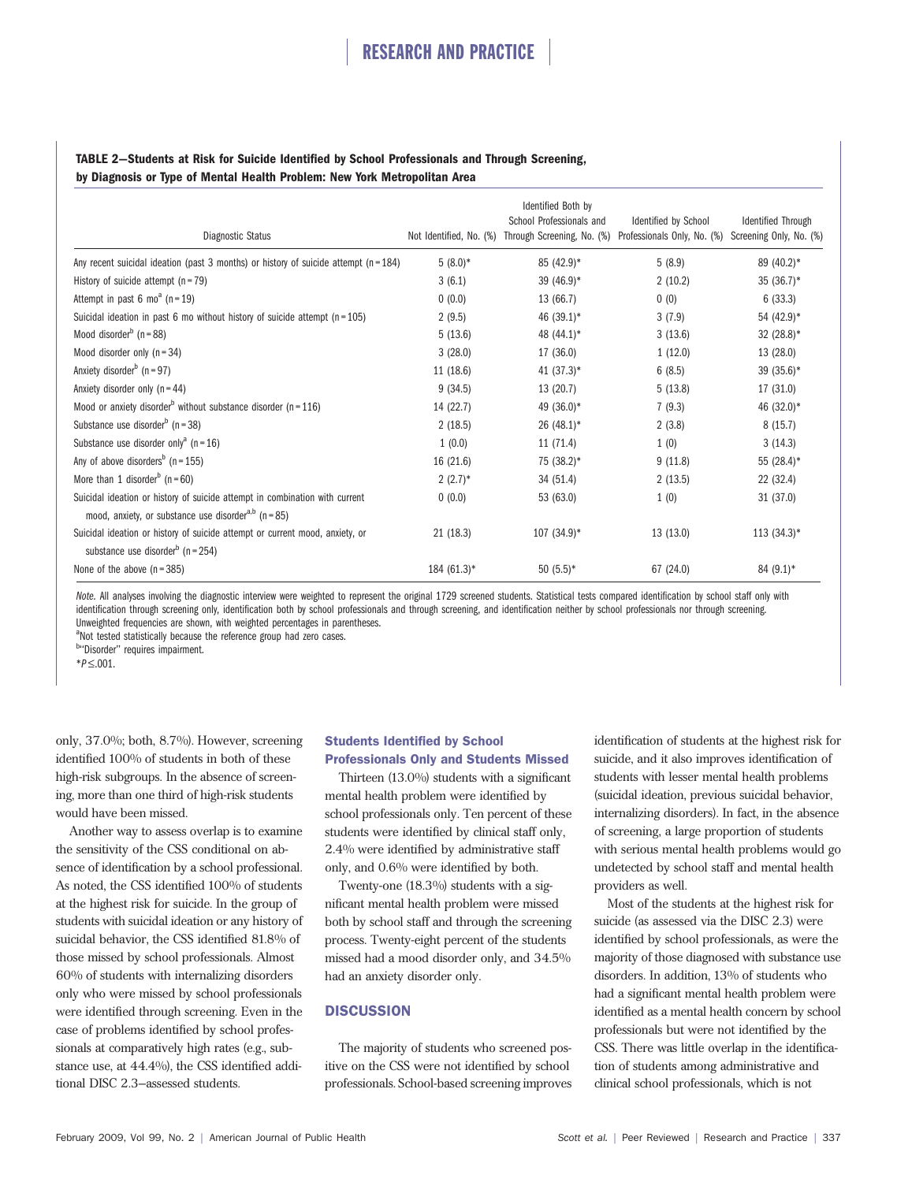# TABLE 2—Students at Risk for Suicide Identified by School Professionals and Through Screening, by Diagnosis or Type of Mental Health Problem: New York Metropolitan Area

| Diagnostic Status                                                                                                                                   | Not Identified, No. (%) | Identified Both by<br>School Professionals and | Identified by School<br>Through Screening, No. (%) Professionals Only, No. (%) Screening Only, No. (%) | <b>Identified Through</b> |
|-----------------------------------------------------------------------------------------------------------------------------------------------------|-------------------------|------------------------------------------------|--------------------------------------------------------------------------------------------------------|---------------------------|
| Any recent suicidal ideation (past 3 months) or history of suicide attempt ( $n = 184$ )                                                            | $5(8.0)*$               | 85 (42.9)*                                     | 5(8.9)                                                                                                 | 89 (40.2)*                |
| History of suicide attempt $(n = 79)$                                                                                                               | 3(6.1)                  | 39 $(46.9)*$                                   | 2(10.2)                                                                                                | $35(36.7)^*$              |
| Attempt in past 6 mo <sup>a</sup> ( $n = 19$ )                                                                                                      | 0(0.0)                  | 13 (66.7)                                      | 0(0)                                                                                                   | 6(33.3)                   |
| Suicidal ideation in past 6 mo without history of suicide attempt $(n = 105)$                                                                       | 2(9.5)                  | 46 (39.1)*                                     | 3(7.9)                                                                                                 | 54 (42.9)*                |
| Mood disorder <sup>b</sup> ( $n = 88$ )                                                                                                             | 5(13.6)                 | 48 (44.1)*                                     | 3(13.6)                                                                                                | 32 $(28.8)$ <sup>*</sup>  |
| Mood disorder only $(n = 34)$                                                                                                                       | 3(28.0)                 | 17 (36.0)                                      | 1(12.0)                                                                                                | 13 (28.0)                 |
| Anxiety disorder <sup>b</sup> ( $n = 97$ )                                                                                                          | 11 (18.6)               | 41 $(37.3)$ <sup>*</sup>                       | 6(8.5)                                                                                                 | $39(35.6)^*$              |
| Anxiety disorder only $(n = 44)$                                                                                                                    | 9(34.5)                 | 13 (20.7)                                      | 5(13.8)                                                                                                | 17(31.0)                  |
| Mood or anxiety disorder <sup>b</sup> without substance disorder ( $n = 116$ )                                                                      | 14 (22.7)               | 49 (36.0)*                                     | 7(9.3)                                                                                                 | 46 (32.0)*                |
| Substance use disorder <sup>b</sup> ( $n = 38$ )                                                                                                    | 2(18.5)                 | $26(48.1)$ *                                   | 2(3.8)                                                                                                 | 8(15.7)                   |
| Substance use disorder only <sup>a</sup> ( $n = 16$ )                                                                                               | 1(0.0)                  | 11 (71.4)                                      | 1(0)                                                                                                   | 3(14.3)                   |
| Any of above disorders <sup>b</sup> ( $n = 155$ )                                                                                                   | 16 (21.6)               | 75 (38.2)*                                     | 9(11.8)                                                                                                | 55 (28.4)*                |
| More than 1 disorder <sup>b</sup> ( $n = 60$ )                                                                                                      | $2(2.7)^*$              | 34(51.4)                                       | 2(13.5)                                                                                                | 22(32.4)                  |
| Suicidal ideation or history of suicide attempt in combination with current<br>mood, anxiety, or substance use disorder <sup>a,b</sup> ( $n = 85$ ) | 0(0.0)                  | 53 (63.0)                                      | 1(0)                                                                                                   | 31 (37.0)                 |
| Suicidal ideation or history of suicide attempt or current mood, anxiety, or<br>substance use disorder <sup>b</sup> ( $n = 254$ )                   | 21 (18.3)               | $107(34.9)^*$                                  | 13 (13.0)                                                                                              | $113(34.3)^*$             |
| None of the above $(n=385)$                                                                                                                         | $184(61.3)^*$           | $50(5.5)*$                                     | 67 (24.0)                                                                                              | $84(9.1)$ *               |

Note. All analyses involving the diagnostic interview were weighted to represent the original 1729 screened students. Statistical tests compared identification by school staff only with identification through screening only, identification both by school professionals and through screening, and identification neither by school professionals nor through screening. Unweighted frequencies are shown, with weighted percentages in parentheses.

<sup>a</sup>Not tested statistically because the reference group had zero cases.

<sup>b</sup>"Disorder" requires impairment.

 $*P \leq .001$ .

only, 37.0%; both, 8.7%). However, screening identified 100% of students in both of these high-risk subgroups. In the absence of screening, more than one third of high-risk students would have been missed.

Another way to assess overlap is to examine the sensitivity of the CSS conditional on absence of identification by a school professional. As noted, the CSS identified 100% of students at the highest risk for suicide. In the group of students with suicidal ideation or any history of suicidal behavior, the CSS identified 81.8% of those missed by school professionals. Almost 60% of students with internalizing disorders only who were missed by school professionals were identified through screening. Even in the case of problems identified by school professionals at comparatively high rates (e.g., substance use, at 44.4%), the CSS identified additional DISC 2.3–assessed students.

# Students Identified by School Professionals Only and Students Missed

Thirteen (13.0%) students with a significant mental health problem were identified by school professionals only. Ten percent of these students were identified by clinical staff only, 2.4% were identified by administrative staff only, and 0.6% were identified by both.

Twenty-one (18.3%) students with a significant mental health problem were missed both by school staff and through the screening process. Twenty-eight percent of the students missed had a mood disorder only, and 34.5% had an anxiety disorder only.

# **DISCUSSION**

The majority of students who screened positive on the CSS were not identified by school professionals. School-based screening improves

identification of students at the highest risk for suicide, and it also improves identification of students with lesser mental health problems (suicidal ideation, previous suicidal behavior, internalizing disorders). In fact, in the absence of screening, a large proportion of students with serious mental health problems would go undetected by school staff and mental health providers as well.

Most of the students at the highest risk for suicide (as assessed via the DISC 2.3) were identified by school professionals, as were the majority of those diagnosed with substance use disorders. In addition, 13% of students who had a significant mental health problem were identified as a mental health concern by school professionals but were not identified by the CSS. There was little overlap in the identification of students among administrative and clinical school professionals, which is not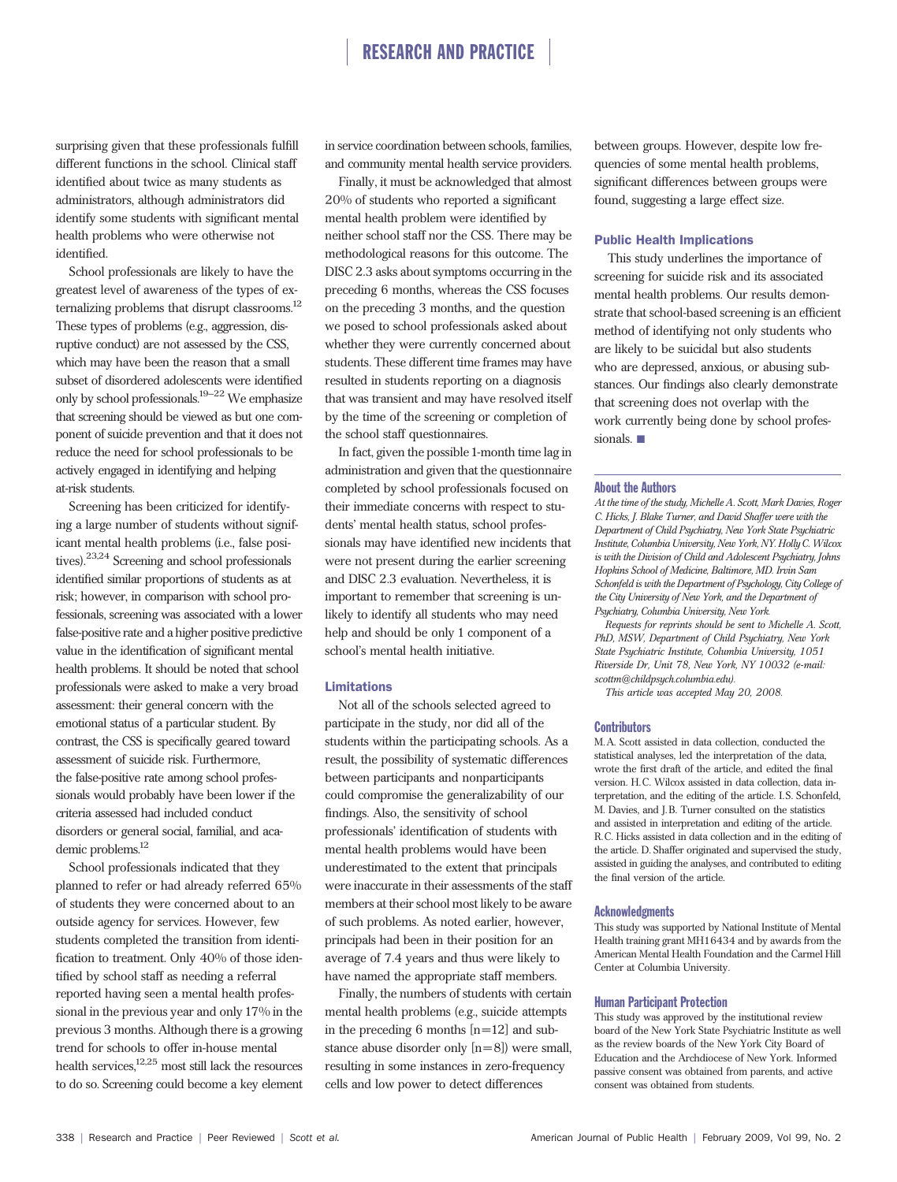# RESEARCH AND PRACTICE

surprising given that these professionals fulfill different functions in the school. Clinical staff identified about twice as many students as administrators, although administrators did identify some students with significant mental health problems who were otherwise not identified.

School professionals are likely to have the greatest level of awareness of the types of externalizing problems that disrupt classrooms.<sup>12</sup> These types of problems (e.g., aggression, disruptive conduct) are not assessed by the CSS, which may have been the reason that a small subset of disordered adolescents were identified only by school professionals.19–22 We emphasize that screening should be viewed as but one component of suicide prevention and that it does not reduce the need for school professionals to be actively engaged in identifying and helping at-risk students.

Screening has been criticized for identifying a large number of students without significant mental health problems (i.e., false positives).23,24 Screening and school professionals identified similar proportions of students as at risk; however, in comparison with school professionals, screening was associated with a lower false-positive rate and a higher positive predictive value in the identification of significant mental health problems. It should be noted that school professionals were asked to make a very broad assessment: their general concern with the emotional status of a particular student. By contrast, the CSS is specifically geared toward assessment of suicide risk. Furthermore, the false-positive rate among school professionals would probably have been lower if the criteria assessed had included conduct disorders or general social, familial, and academic problems.<sup>12</sup>

School professionals indicated that they planned to refer or had already referred 65% of students they were concerned about to an outside agency for services. However, few students completed the transition from identification to treatment. Only 40% of those identified by school staff as needing a referral reported having seen a mental health professional in the previous year and only 17% in the previous 3 months. Although there is a growing trend for schools to offer in-house mental health services,12,25 most still lack the resources to do so. Screening could become a key element in service coordination between schools, families, and community mental health service providers.

Finally, it must be acknowledged that almost 20% of students who reported a significant mental health problem were identified by neither school staff nor the CSS. There may be methodological reasons for this outcome. The DISC 2.3 asks about symptoms occurring in the preceding 6 months, whereas the CSS focuses on the preceding 3 months, and the question we posed to school professionals asked about whether they were currently concerned about students. These different time frames may have resulted in students reporting on a diagnosis that was transient and may have resolved itself by the time of the screening or completion of the school staff questionnaires.

In fact, given the possible 1-month time lag in administration and given that the questionnaire completed by school professionals focused on their immediate concerns with respect to students' mental health status, school professionals may have identified new incidents that were not present during the earlier screening and DISC 2.3 evaluation. Nevertheless, it is important to remember that screening is unlikely to identify all students who may need help and should be only 1 component of a school's mental health initiative.

## **Limitations**

Not all of the schools selected agreed to participate in the study, nor did all of the students within the participating schools. As a result, the possibility of systematic differences between participants and nonparticipants could compromise the generalizability of our findings. Also, the sensitivity of school professionals' identification of students with mental health problems would have been underestimated to the extent that principals were inaccurate in their assessments of the staff members at their school most likely to be aware of such problems. As noted earlier, however, principals had been in their position for an average of 7.4 years and thus were likely to have named the appropriate staff members.

Finally, the numbers of students with certain mental health problems (e.g., suicide attempts in the preceding 6 months [n=12] and substance abuse disorder only [n=8]) were small, resulting in some instances in zero-frequency cells and low power to detect differences

between groups. However, despite low frequencies of some mental health problems, significant differences between groups were found, suggesting a large effect size.

#### Public Health Implications

This study underlines the importance of screening for suicide risk and its associated mental health problems. Our results demonstrate that school-based screening is an efficient method of identifying not only students who are likely to be suicidal but also students who are depressed, anxious, or abusing substances. Our findings also clearly demonstrate that screening does not overlap with the work currently being done by school professionals.

#### About the Authors

At the time of the study, Michelle A. Scott, Mark Davies, Roger C. Hicks, J. Blake Turner, and David Shaffer were with the Department of Child Psychiatry, New York State Psychiatric Institute, Columbia University, New York, NY. Holly C. Wilcox is with the Division of Child and Adolescent Psychiatry, Johns Hopkins School of Medicine, Baltimore, MD. Irvin Sam Schonfeld is with the Department of Psychology, City College of the City University of New York, and the Department of Psychiatry, Columbia University, New York.

Requests for reprints should be sent to Michelle A. Scott, PhD, MSW, Department of Child Psychiatry, New York State Psychiatric Institute, Columbia University, 1051 Riverside Dr, Unit 78, New York, NY 10032 (e-mail: scottm@childpsych.columbia.edu).

This article was accepted May 20, 2008.

#### **Contributors**

M. A. Scott assisted in data collection, conducted the statistical analyses, led the interpretation of the data, wrote the first draft of the article, and edited the final version. H. C. Wilcox assisted in data collection, data interpretation, and the editing of the article. I.S. Schonfeld, M. Davies, and J. B. Turner consulted on the statistics and assisted in interpretation and editing of the article. R. C. Hicks assisted in data collection and in the editing of the article. D. Shaffer originated and supervised the study, assisted in guiding the analyses, and contributed to editing the final version of the article.

#### **Acknowledgments**

This study was supported by National Institute of Mental Health training grant MH16434 and by awards from the American Mental Health Foundation and the Carmel Hill Center at Columbia University.

#### Human Participant Protection

This study was approved by the institutional review board of the New York State Psychiatric Institute as well as the review boards of the New York City Board of Education and the Archdiocese of New York. Informed passive consent was obtained from parents, and active consent was obtained from students.